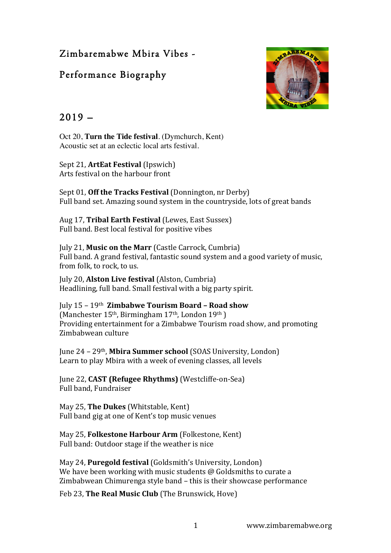# Zimbaremabwe Mbira Vibes -

# Performance Biography



## $2019 -$

Oct 20, **Turn the Tide festival**. (Dymchurch, Kent) Acoustic set at an eclectic local arts festival.

Sept 21, **ArtEat Festival** (Ipswich) Arts festival on the harbour front

Sept 01, **Off the Tracks Festival** (Donnington, nr Derby) Full band set. Amazing sound system in the countryside, lots of great bands

Aug 17, **Tribal Earth Festival** (Lewes, East Sussex) Full band. Best local festival for positive vibes

July 21, Music on the Marr (Castle Carrock, Cumbria) Full band. A grand festival, fantastic sound system and a good variety of music, from folk, to rock, to us.

Iuly 20, **Alston Live festival** (Alston, Cumbria) Headlining, full band. Small festival with a big party spirit.

July 15 – 19th **Zimbabwe Tourism Board – Road show** (Manchester  $15<sup>th</sup>$ , Birmingham  $17<sup>th</sup>$ , London  $19<sup>th</sup>$ ) Providing entertainment for a Zimbabwe Tourism road show, and promoting Zimbabwean culture

June 24 – 29<sup>th</sup>, **Mbira Summer school** (SOAS University, London) Learn to play Mbira with a week of evening classes, all levels

June 22, **CAST (Refugee Rhythms)** (Westcliffe-on-Sea) Full band, Fundraiser

May 25, The Dukes (Whitstable, Kent) Full band gig at one of Kent's top music venues

May 25, **Folkestone Harbour Arm** (Folkestone, Kent) Full band: Outdoor stage if the weather is nice

May 24, **Puregold festival** (Goldsmith's University, London) We have been working with music students  $\omega$  Goldsmiths to curate a Zimbabwean Chimurenga style band – this is their showcase performance

Feb 23, **The Real Music Club** (The Brunswick, Hove)